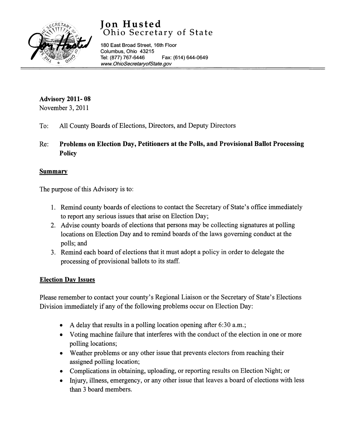# **Jon Husted**  Ohio Secretary of State



180 East Broad Street, 16th Floor Columbus, Ohio 43215 Tel: (877) 767-6446 Fax: (614) 644-0649 www.OhioSecretaryofState.gov

## **Advisory 2011- 08**

November 3, 2011

- To: All County Boards of Elections, Directors, and Deputy Directors
- Re: **Problems on Election Day, Petitioners at the Polls, and Provisional Ballot Processing Policy**

### **Summary**

The purpose of this Advisory is to:

- 1. Remind county boards of elections to contact the Secretary of State's office immediately to report any serious issues that arise on Election Day;
- 2. Advise county boards of elections that persons may be collecting signatures at polling locations on Election Day and to remind boards of the laws governing conduct at the polls; and
- 3. Remind each board of elections that it must adopt a policy in order to delegate the processing of provisional ballots to its staff.

### **Election Day Issues**

Please remember to contact your county's Regional Liaison or the Secretary of State's Elections Division immediately if any of the following problems occur on Election Day:

- A delay that results in a polling location opening after 6:30 a.m.;
- Voting machine failure that interferes with the conduct of the election in one or more polling locations;
- Weather problems or any other issue that prevents electors from reaching their assigned polling location;
- Complications in obtaining, uploading, or reporting results on Election Night; or
- Injury, illness, emergency, or any other issue that leaves a board of elections with less than 3 board members.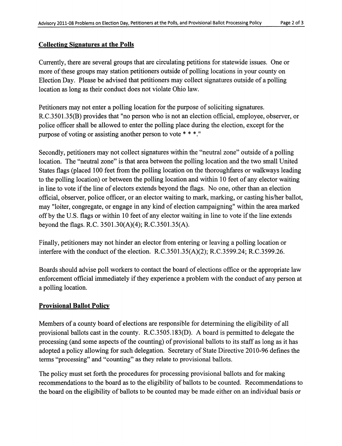#### **Collecting Signatures at the Polls**

Currently, there are several groups that are circulating petitions for statewide issues. One or more of these groups may station petitioners outside of polling locations in your county on Election Day. Please be advised that petitioners may collect signatures outside of a polling location as long as their conduct does not violate Ohio law.

Petitioners may not enter a polling location for the purpose of soliciting signatures. R.C.3501.35(B) provides that "no person who is not an election official, employee, observer, or police officer shall be allowed to enter the polling place during the election, except for the purpose of voting or assisting another person to vote \* \* \*."

Secondly, petitioners may not collect signatures within the "neutral zone" outside of a polling location. The "neutral zone" is that area between the polling location and the two small United States flags (placed 100 feet from the polling location on the thoroughfares or walkways leading to the polling location) or between the polling location and within 10 feet of any elector waiting in line to vote if the line of electors extends beyond the flags. No one, other than an election official, observer, police officer, or an elector waiting to mark, marking, or casting his/her ballot, may "loiter, congregate, or engage in any kind of election campaigning" within the area marked off by the U.S. flags or within 10 feet of any elector waiting in line to vote if the line extends beyond the flags. R.C. 3501.30(A)(4); R.C.3501.35(A).

Finally, petitioners may not hinder an elector from entering or leaving a polling location or interfere with the conduct of the election.  $R.C.3501.35(A)(2)$ ;  $R.C.3599.24$ ;  $R.C.3599.26$ .

Boards should advise poll workers to contact the board of elections office or the appropriate law enforcement official immediately if they experience a problem with the conduct of any person at a polling location.

#### **Provisional Ballot Policy**

Members of a county board of elections are responsible for determining the eligibility of all provisional ballots cast in the county. R.C.3505.183(D). A board is permitted to delegate the processing (and some aspects of the counting) of provisional ballots to its staff as long as it has adopted a policy allowing for such delegation. Secretary of State Directive 2010-96 defines the terms "processing" and "counting" as they relate to provisional ballots.

The policy must set forth the procedures for processing provisional ballots and for making recommendations to the board as to the eligibility of ballots to be counted. Recommendations to the board on the eligibility of ballots to be counted may be made either on an individual basis or